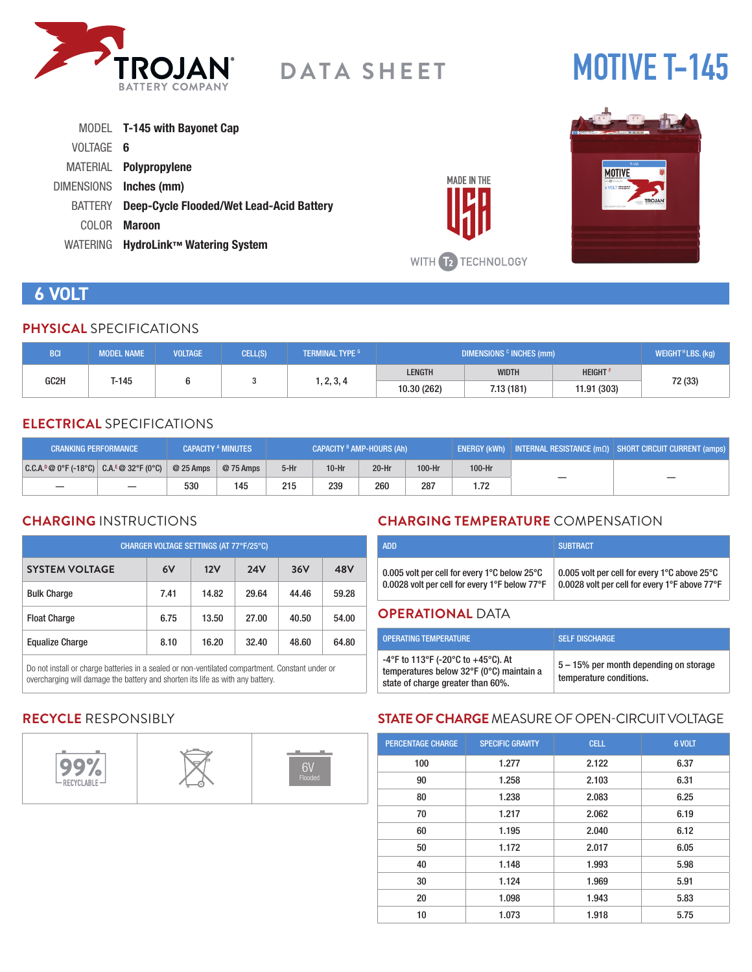

# **MOTIVE T-145**

|           | MODEL <b>T-145 with Bayonet Cap</b>              |
|-----------|--------------------------------------------------|
| VOLTAGE 6 |                                                  |
|           | MATERIAL <b>Polypropylene</b>                    |
|           | DIMENSIONS Inches (mm)                           |
|           | BATTERY Deep-Cycle Flooded/Wet Lead-Acid Battery |
| COLOR -   | <b>Maroon</b>                                    |
|           | WATERING HydroLink™ Watering System              |



## **6 VOLT**

#### **PHYSICAL** SPECIFICATIONS

| BCI  | <b>MODEL NAME</b> | <b>VOLTAGE</b> | CELL(S) | <b>I TERMINAL TYPE 6 1</b> | DIMENSIONS <sup>c</sup> INCHES (mm) |              |                            | WEIGHT $H$ LBS. (kg) |
|------|-------------------|----------------|---------|----------------------------|-------------------------------------|--------------|----------------------------|----------------------|
|      |                   |                |         |                            | <b>LENGTH</b>                       | <b>WIDTH</b> | <b>HEIGHT</b> <sup>F</sup> |                      |
| GC2H | T-145             |                |         | 1, 2, 3, 4                 | 10.30 (262)                         | 7.13 (181)   | 11.91 (303)                | 72 (33)              |

#### **ELECTRICAL** SPECIFICATIONS

| <b>CRANKING PERFORMANCE</b>                  |                          |            | <b>CAPACITY A MINUTES</b> | CAPACITY <sup>B</sup> AMP-HOURS (Ah) |         |         | ENERGY (kWh) INTERNAL RESISTANCE $\overline{(m\Omega)}$ SHORT CIRCUIT CURRENT (amps) |        |  |
|----------------------------------------------|--------------------------|------------|---------------------------|--------------------------------------|---------|---------|--------------------------------------------------------------------------------------|--------|--|
| $ C.C.A.^p@0^cF(-18^cC) C.A.^E@32^cF(0^cC) $ |                          | $@25$ Amps | @ 75 Amps                 | $5-Hr$                               | $10-Hr$ | $20-Hr$ | 100-Hr                                                                               | 100-Hr |  |
|                                              | $\overline{\phantom{m}}$ | 530        | 145                       | 215                                  | 239     | 260     | 287                                                                                  | 1.72   |  |

## **CHARGING** INSTRUCTIONS

| CHARGER VOLTAGE SETTINGS (AT 77°F/25°C) |      |       |            |       |       |  |  |
|-----------------------------------------|------|-------|------------|-------|-------|--|--|
| <b>SYSTEM VOLTAGE</b>                   | 6V   | 12V   | <b>24V</b> | 36V   | 48V   |  |  |
| <b>Bulk Charge</b>                      | 7.41 | 14.82 | 29.64      | 44.46 | 59.28 |  |  |
| <b>Float Charge</b>                     | 6.75 | 13.50 | 27.00      | 40.50 | 54.00 |  |  |
| <b>Equalize Charge</b>                  | 8.10 | 16.20 | 32.40      | 48.60 | 64.80 |  |  |

Do not install or charge batteries in a sealed or non-ventilated compartment. Constant under or overcharging will damage the battery and shorten its life as with any battery.

## **CHARGING TEMPERATURE** COMPENSATION

| <b>ADD</b>                                                         | <b>SUBTRACT</b>                               |
|--------------------------------------------------------------------|-----------------------------------------------|
| 0.005 volt per cell for every 1 $^{\circ}$ C below 25 $^{\circ}$ C | 0.005 volt per cell for every 1°C above 25°C  |
| 0.0028 volt per cell for every 1°F below 77°F                      | 0.0028 volt per cell for every 1°F above 77°F |

#### **OPERATIONAL** DATA

**MADE IN THE** 

WITH 12 TECHNOLOGY

| <b>OPERATING TEMPERATURE</b>                                                                                        | <b>SELF DISCHARGE</b>                                             |
|---------------------------------------------------------------------------------------------------------------------|-------------------------------------------------------------------|
| -4°F to 113°F (-20°C to +45°C). At<br>temperatures below 32°F (0°C) maintain a<br>state of charge greater than 60%. | 5 – 15% per month depending on storage<br>temperature conditions. |

## **RECYCLE** RESPONSIBLY



## **STATE OF CHARGE** MEASURE OF OPEN-CIRCUIT VOLTAGE

| <b>PERCENTAGE CHARGE</b> | <b>SPECIFIC GRAVITY</b> | <b>CELL</b> | 6 VOLT |
|--------------------------|-------------------------|-------------|--------|
| 100                      | 1.277                   | 2.122       | 6.37   |
| 90                       | 1.258                   | 2.103       | 6.31   |
| 80                       | 1.238                   | 2.083       | 6.25   |
| 70                       | 1.217                   | 2.062       | 6.19   |
| 60                       | 1.195                   | 2.040       | 6.12   |
| 50                       | 1.172                   | 2.017       | 6.05   |
| 40                       | 1.148                   | 1.993       | 5.98   |
| 30                       | 1.124                   | 1.969       | 5.91   |
| 20                       | 1.098                   | 1.943       | 5.83   |
| 10                       | 1.073                   | 1.918       | 5.75   |